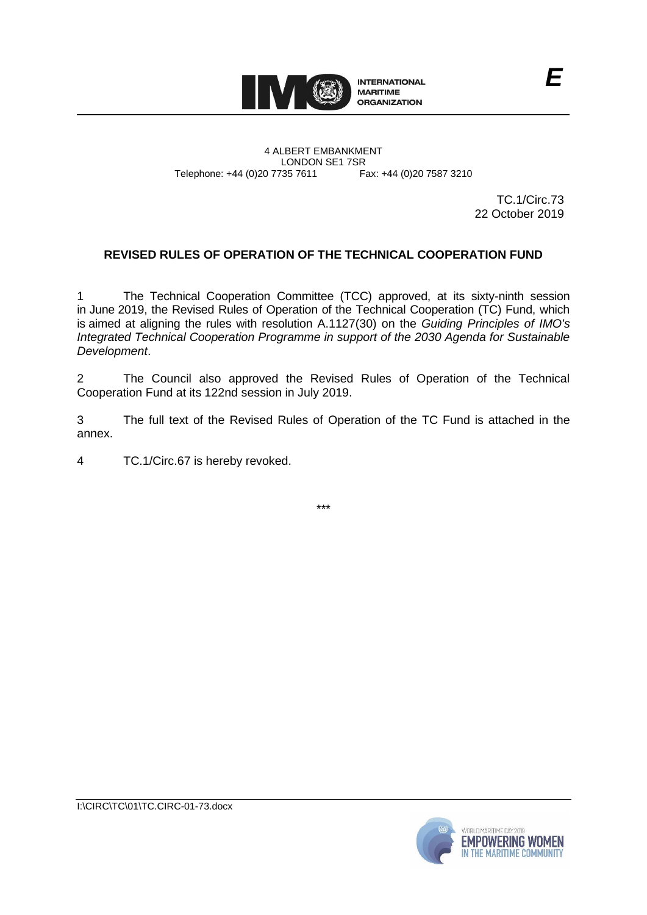

4 ALBERT EMBANKMENT Telephone: +44 (0)20 7735 7611

LONDON SE1 7SR<br>735 7611 Fax: +44 (0)20 7587 3210

TC.1/Circ.73 22 October 2019

# **REVISED RULES OF OPERATION OF THE TECHNICAL COOPERATION FUND**

1 The Technical Cooperation Committee (TCC) approved, at its sixty-ninth session in June 2019, the Revised Rules of Operation of the Technical Cooperation (TC) Fund, which is aimed at aligning the rules with resolution A.1127(30) on the *Guiding Principles of IMO's Integrated Technical Cooperation Programme in support of the 2030 Agenda for Sustainable Development*.

2 The Council also approved the Revised Rules of Operation of the Technical Cooperation Fund at its 122nd session in July 2019.

3 The full text of the Revised Rules of Operation of the TC Fund is attached in the annex.

4 TC.1/Circ.67 is hereby revoked.

\*\*\*

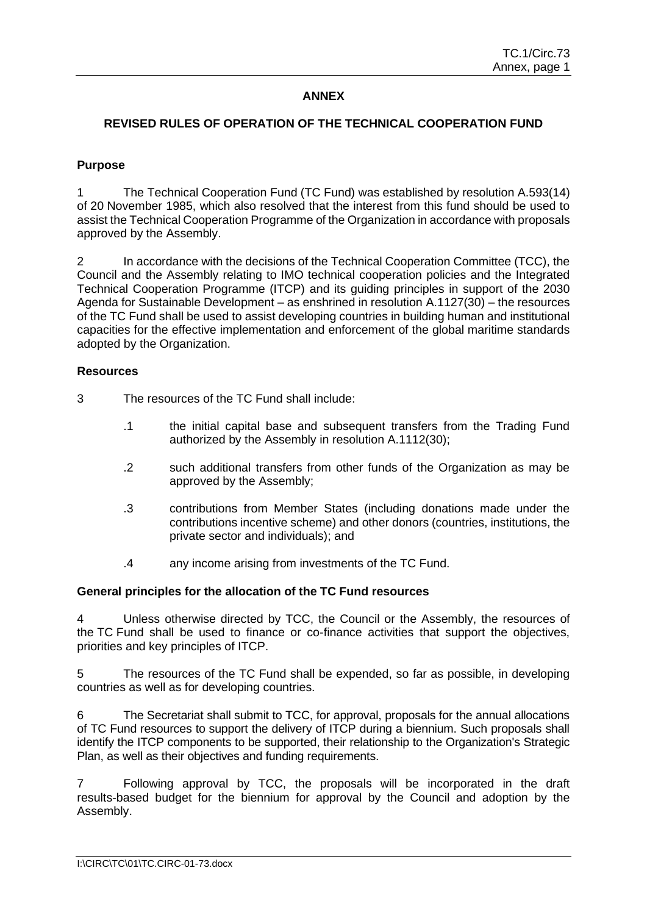# **ANNEX**

### **REVISED RULES OF OPERATION OF THE TECHNICAL COOPERATION FUND**

### **Purpose**

1 The Technical Cooperation Fund (TC Fund) was established by resolution A.593(14) of 20 November 1985, which also resolved that the interest from this fund should be used to assist the Technical Cooperation Programme of the Organization in accordance with proposals approved by the Assembly.

2 In accordance with the decisions of the Technical Cooperation Committee (TCC), the Council and the Assembly relating to IMO technical cooperation policies and the Integrated Technical Cooperation Programme (ITCP) and its guiding principles in support of the 2030 Agenda for Sustainable Development – as enshrined in resolution A.1127(30) – the resources of the TC Fund shall be used to assist developing countries in building human and institutional capacities for the effective implementation and enforcement of the global maritime standards adopted by the Organization.

#### **Resources**

- 3 The resources of the TC Fund shall include:
	- .1 the initial capital base and subsequent transfers from the Trading Fund authorized by the Assembly in resolution A.1112(30);
	- .2 such additional transfers from other funds of the Organization as may be approved by the Assembly;
	- .3 contributions from Member States (including donations made under the contributions incentive scheme) and other donors (countries, institutions, the private sector and individuals); and
	- .4 any income arising from investments of the TC Fund.

#### **General principles for the allocation of the TC Fund resources**

4 Unless otherwise directed by TCC, the Council or the Assembly, the resources of the TC Fund shall be used to finance or co-finance activities that support the objectives, priorities and key principles of ITCP.

5 The resources of the TC Fund shall be expended, so far as possible, in developing countries as well as for developing countries.

6 The Secretariat shall submit to TCC, for approval, proposals for the annual allocations of TC Fund resources to support the delivery of ITCP during a biennium. Such proposals shall identify the ITCP components to be supported, their relationship to the Organization's Strategic Plan, as well as their objectives and funding requirements.

7 Following approval by TCC, the proposals will be incorporated in the draft results-based budget for the biennium for approval by the Council and adoption by the Assembly.